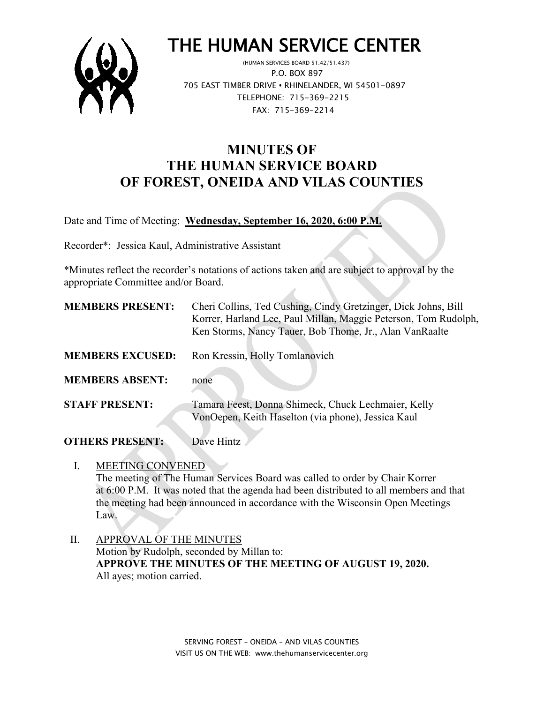

# THE HUMAN SERVICE CENTER

 P.O. BOX 897 705 EAST TIMBER DRIVE **•** RHINELANDER, WI 54501-0897 TELEPHONE: 715-369-2215 FAX: 715-369-2214

## **MINUTES OF THE HUMAN SERVICE BOARD OF FOREST, ONEIDA AND VILAS COUNTIES**

Date and Time of Meeting: **Wednesday, September 16, 2020, 6:00 P.M.**

Recorder\*: Jessica Kaul, Administrative Assistant

\*Minutes reflect the recorder's notations of actions taken and are subject to approval by the appropriate Committee and/or Board.

 $\mathcal{L}$ 

| <b>MEMBERS PRESENT:</b> | Cheri Collins, Ted Cushing, Cindy Gretzinger, Dick Johns, Bill<br>Korrer, Harland Lee, Paul Millan, Maggie Peterson, Tom Rudolph,<br>Ken Storms, Nancy Tauer, Bob Thome, Jr., Alan VanRaalte |
|-------------------------|----------------------------------------------------------------------------------------------------------------------------------------------------------------------------------------------|
| <b>MEMBERS EXCUSED:</b> | Ron Kressin, Holly Tomlanovich                                                                                                                                                               |
| <b>MEMBERS ABSENT:</b>  | none                                                                                                                                                                                         |
| <b>STAFF PRESENT:</b>   | Tamara Feest, Donna Shimeck, Chuck Lechmaier, Kelly<br>VonOepen, Keith Haselton (via phone), Jessica Kaul                                                                                    |

**OTHERS PRESENT:** Dave Hintz

- I. MEETING CONVENED The meeting of The Human Services Board was called to order by Chair Korrer at 6:00 P.M. It was noted that the agenda had been distributed to all members and that the meeting had been announced in accordance with the Wisconsin Open Meetings Law.
- II. APPROVAL OF THE MINUTES Motion by Rudolph, seconded by Millan to: **APPROVE THE MINUTES OF THE MEETING OF AUGUST 19, 2020.** All ayes; motion carried.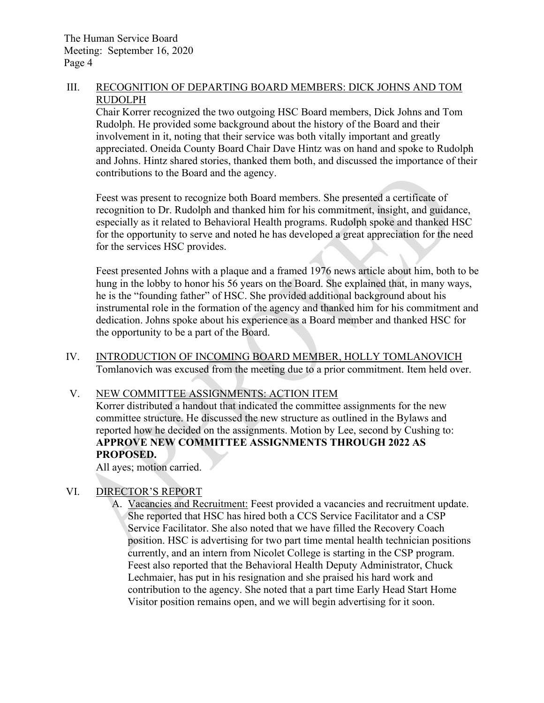### III. RECOGNITION OF DEPARTING BOARD MEMBERS: DICK JOHNS AND TOM RUDOLPH

Chair Korrer recognized the two outgoing HSC Board members, Dick Johns and Tom Rudolph. He provided some background about the history of the Board and their involvement in it, noting that their service was both vitally important and greatly appreciated. Oneida County Board Chair Dave Hintz was on hand and spoke to Rudolph and Johns. Hintz shared stories, thanked them both, and discussed the importance of their contributions to the Board and the agency.

Feest was present to recognize both Board members. She presented a certificate of recognition to Dr. Rudolph and thanked him for his commitment, insight, and guidance, especially as it related to Behavioral Health programs. Rudolph spoke and thanked HSC for the opportunity to serve and noted he has developed a great appreciation for the need for the services HSC provides.

Feest presented Johns with a plaque and a framed 1976 news article about him, both to be hung in the lobby to honor his 56 years on the Board. She explained that, in many ways, he is the "founding father" of HSC. She provided additional background about his instrumental role in the formation of the agency and thanked him for his commitment and dedication. Johns spoke about his experience as a Board member and thanked HSC for the opportunity to be a part of the Board.

IV. INTRODUCTION OF INCOMING BOARD MEMBER, HOLLY TOMLANOVICH Tomlanovich was excused from the meeting due to a prior commitment. Item held over.

V. NEW COMMITTEE ASSIGNMENTS: ACTION ITEM

Korrer distributed a handout that indicated the committee assignments for the new committee structure. He discussed the new structure as outlined in the Bylaws and reported how he decided on the assignments. Motion by Lee, second by Cushing to: **APPROVE NEW COMMITTEE ASSIGNMENTS THROUGH 2022 AS PROPOSED.**

All ayes; motion carried.

### VI. DIRECTOR'S REPORT

A. Vacancies and Recruitment: Feest provided a vacancies and recruitment update. She reported that HSC has hired both a CCS Service Facilitator and a CSP Service Facilitator. She also noted that we have filled the Recovery Coach position. HSC is advertising for two part time mental health technician positions currently, and an intern from Nicolet College is starting in the CSP program. Feest also reported that the Behavioral Health Deputy Administrator, Chuck Lechmaier, has put in his resignation and she praised his hard work and contribution to the agency. She noted that a part time Early Head Start Home Visitor position remains open, and we will begin advertising for it soon.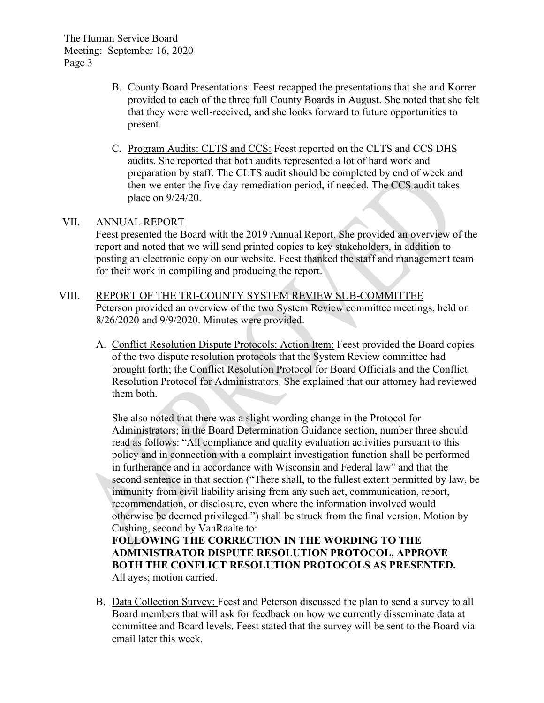The Human Service Board Meeting: September 16, 2020 Page 3

- B. County Board Presentations: Feest recapped the presentations that she and Korrer provided to each of the three full County Boards in August. She noted that she felt that they were well-received, and she looks forward to future opportunities to present.
- C. Program Audits: CLTS and CCS: Feest reported on the CLTS and CCS DHS audits. She reported that both audits represented a lot of hard work and preparation by staff. The CLTS audit should be completed by end of week and then we enter the five day remediation period, if needed. The CCS audit takes place on 9/24/20.

### VII. ANNUAL REPORT

Feest presented the Board with the 2019 Annual Report. She provided an overview of the report and noted that we will send printed copies to key stakeholders, in addition to posting an electronic copy on our website. Feest thanked the staff and management team for their work in compiling and producing the report.

- VIII. REPORT OF THE TRI-COUNTY SYSTEM REVIEW SUB-COMMITTEE Peterson provided an overview of the two System Review committee meetings, held on 8/26/2020 and 9/9/2020. Minutes were provided.
	- A. Conflict Resolution Dispute Protocols: Action Item: Feest provided the Board copies of the two dispute resolution protocols that the System Review committee had brought forth; the Conflict Resolution Protocol for Board Officials and the Conflict Resolution Protocol for Administrators. She explained that our attorney had reviewed them both.

She also noted that there was a slight wording change in the Protocol for Administrators; in the Board Determination Guidance section, number three should read as follows: "All compliance and quality evaluation activities pursuant to this policy and in connection with a complaint investigation function shall be performed in furtherance and in accordance with Wisconsin and Federal law" and that the second sentence in that section ("There shall, to the fullest extent permitted by law, be immunity from civil liability arising from any such act, communication, report, recommendation, or disclosure, even where the information involved would otherwise be deemed privileged.") shall be struck from the final version. Motion by Cushing, second by VanRaalte to:

**FOLLOWING THE CORRECTION IN THE WORDING TO THE ADMINISTRATOR DISPUTE RESOLUTION PROTOCOL, APPROVE BOTH THE CONFLICT RESOLUTION PROTOCOLS AS PRESENTED.** All ayes; motion carried.

B. Data Collection Survey: Feest and Peterson discussed the plan to send a survey to all Board members that will ask for feedback on how we currently disseminate data at committee and Board levels. Feest stated that the survey will be sent to the Board via email later this week.